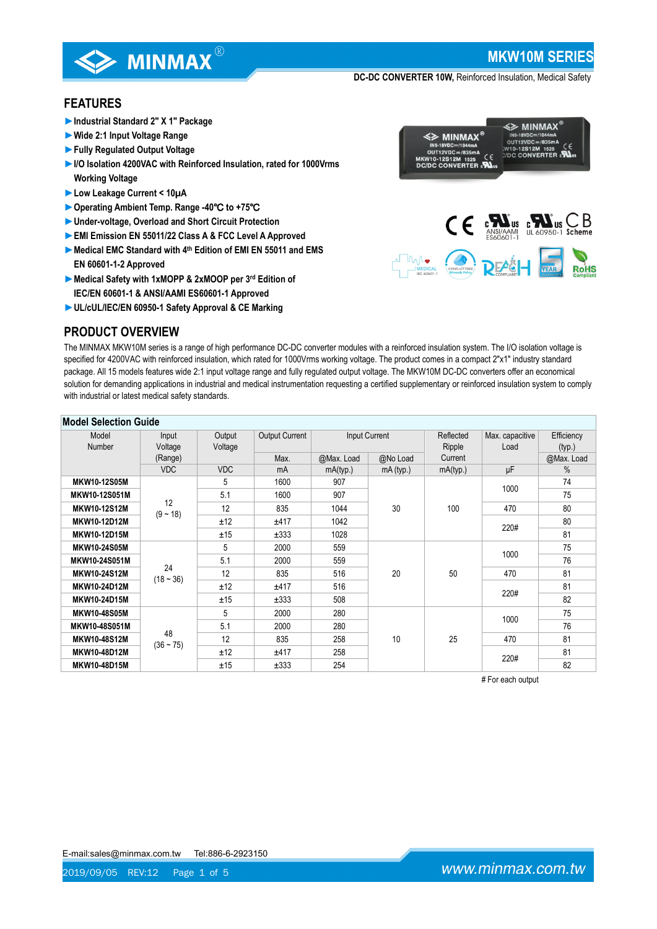

**MKW10M SERIES**

**E≥ MINMAX** 

**DC-DC CONVERTER 10W,** Reinforced Insulation, Medical Safety

## **FEATURES**

- **►Industrial Standard 2" X 1" Package**
- **►Wide 2:1 Input Voltage Range**
- **►Fully Regulated Output Voltage**
- ►**I/O Isolation 4200VAC with Reinforced Insulation, rated for 1000Vrms Working Voltage**
- **►Low Leakage Current < 10µA**
- **►Operating Ambient Temp. Range -40**℃ **to +75**℃
- **►Under-voltage, Overload and Short Circuit Protection**
- **►EMI Emission EN 55011/22 Class A & FCC Level A Approved**
- **►Medical EMC Standard with 4th Edition of EMI EN 55011 and EMS EN 60601-1-2 Approved**
- **►Medical Safety with 1xMOPP & 2xMOOP per 3rd Edition of IEC/EN 60601-1 & ANSI/AAMI ES60601-1 Approved**
- **►UL/cUL/IEC/EN 60950-1 Safety Approval & CE Marking**

# **PRODUCT OVERVIEW**



The MINMAX MKW10M series is a range of high performance DC-DC converter modules with a reinforced insulation system. The I/O isolation voltage is specified for 4200VAC with reinforced insulation, which rated for 1000Vrms working voltage. The product comes in a compact 2"x1" industry standard package. All 15 models features wide 2:1 input voltage range and fully regulated output voltage. The MKW10M DC-DC converters offer an economical solution for demanding applications in industrial and medical instrumentation requesting a certified supplementary or reinforced insulation system to comply with industrial or latest medical safety standards.

| <b>Model Selection Guide</b> |                   |            |                       |               |           |           |                     |            |
|------------------------------|-------------------|------------|-----------------------|---------------|-----------|-----------|---------------------|------------|
| Model                        | Input             | Output     | <b>Output Current</b> | Input Current |           | Reflected | Max. capacitive     | Efficiency |
| <b>Number</b>                | Voltage           | Voltage    |                       |               |           | Ripple    | Load                | (typ.)     |
|                              | (Range)           |            | Max.                  | @Max. Load    | @No Load  | Current   |                     | @Max. Load |
|                              | <b>VDC</b>        | <b>VDC</b> | mA                    | mA(typ.)      | mA (typ.) | mA(typ.)  | μF                  | $\%$       |
| <b>MKW10-12S05M</b>          | 12<br>$(9 - 18)$  | 5          | 1600                  | 907           | 30        | 100       | 1000                | 74         |
| MKW10-12S051M                |                   | 5.1        | 1600                  | 907           |           |           |                     | 75         |
| <b>MKW10-12S12M</b>          |                   | 12         | 835                   | 1044          |           |           | 470                 | 80         |
| MKW10-12D12M                 |                   | ±12        | ±417                  | 1042          |           |           | 220#                | 80         |
| <b>MKW10-12D15M</b>          |                   | ±15        | ±333                  | 1028          |           |           |                     | 81         |
| MKW10-24S05M                 | 24<br>$(18 - 36)$ | 5          | 2000                  | 559           | 20        | 50        | 1000<br>470<br>220# | 75         |
| MKW10-24S051M                |                   | 5.1        | 2000                  | 559           |           |           |                     | 76         |
| MKW10-24S12M                 |                   | 12         | 835                   | 516           |           |           |                     | 81         |
| MKW10-24D12M                 |                   | ±12        | ±417                  | 516           |           |           |                     | 81         |
| <b>MKW10-24D15M</b>          |                   | ±15        | ±333                  | 508           |           |           |                     | 82         |
| <b>MKW10-48S05M</b>          |                   | 5          | 2000                  | 280           | 10        | 25        | 1000<br>470<br>220# | 75         |
| MKW10-48S051M                |                   | 5.1        | 2000                  | 280           |           |           |                     | 76         |
| <b>MKW10-48S12M</b>          | 48<br>$(36 - 75)$ | 12         | 835                   | 258           |           |           |                     | 81         |
| MKW10-48D12M                 |                   | ±12        | ±417                  | 258           |           |           |                     | 81         |
| <b>MKW10-48D15M</b>          |                   | ±15        | ±333                  | 254           |           |           |                     | 82         |

# For each output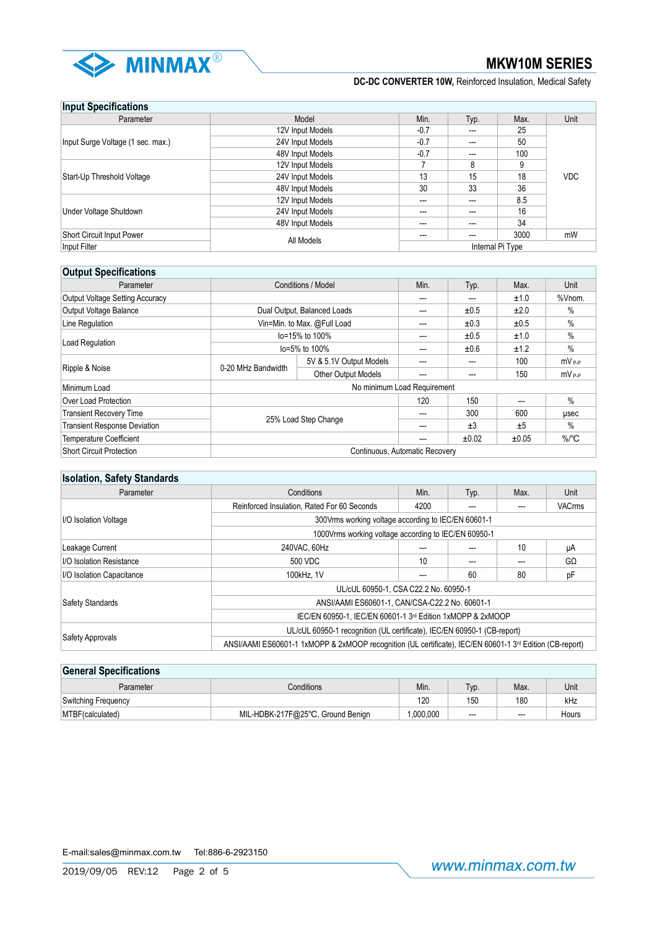

## **Input Specifications**

| <b>HINAL ANAAHIAAHAHA</b>         |                  |                      |     |                  |            |
|-----------------------------------|------------------|----------------------|-----|------------------|------------|
| Parameter                         | Model            | Min.<br>Max.<br>Typ. |     |                  | Unit       |
| Input Surge Voltage (1 sec. max.) | 12V Input Models | $-0.7$               | --- | 25               |            |
|                                   | 24V Input Models | $-0.7$               | --- | 50               |            |
|                                   | 48V Input Models | $-0.7$               | --- | 100              |            |
|                                   | 12V Input Models |                      | 8   |                  |            |
| Start-Up Threshold Voltage        | 24V Input Models | 13                   | 15  | 18               | <b>VDC</b> |
|                                   | 48V Input Models | 30                   | 33  | 36               |            |
| Under Voltage Shutdown            | 12V Input Models | $---$                | --- | 8.5              |            |
|                                   | 24V Input Models | $--$                 | --- | 16               |            |
|                                   | 48V Input Models | $--$                 | --- | 34               |            |
| Short Circuit Input Power         | All Models       | ---                  | --- | 3000             | mW         |
| Input Filter                      |                  |                      |     | Internal Pi Type |            |

## **Output Specifications**

| Parameter                              | <b>Conditions / Model</b>      | Min.                       | Typ. | Max.  | Unit  |                     |
|----------------------------------------|--------------------------------|----------------------------|------|-------|-------|---------------------|
| <b>Output Voltage Setting Accuracy</b> |                                |                            | ---  | ---   | ±1.0  | %Vnom.              |
| Output Voltage Balance                 | Dual Output, Balanced Loads    |                            | ---  | ±0.5  | ±2.0  | $\%$                |
| Line Regulation                        | Vin=Min. to Max. @Full Load    |                            | ---  | ±0.3  | ±0.5  | $\%$                |
|                                        | lo=15% to 100%                 |                            | ---  | ±0.5  | ±1.0  | %                   |
| Load Regulation                        | lo=5% to 100%                  |                            | ---  | ±0.6  | ±1.2  | %                   |
|                                        | 0-20 MHz Bandwidth             | 5V & 5.1V Output Models    | ---  | ---   | 100   | $mV_{P-P}$          |
| Ripple & Noise                         |                                | <b>Other Output Models</b> | ---  | ---   | 150   | $mV_{P-P}$          |
| Minimum Load                           | No minimum Load Requirement    |                            |      |       |       |                     |
| Over Load Protection                   |                                |                            | 120  | 150   |       | $\%$                |
| <b>Transient Recovery Time</b>         | 25% Load Step Change           |                            | ---  | 300   | 600   | usec                |
| <b>Transient Response Deviation</b>    |                                |                            | ---  | ±3    | ±5    | $\%$                |
| <b>Temperature Coefficient</b>         |                                |                            | ---  | ±0.02 | ±0.05 | $\%$ <sup>°</sup> C |
| Short Circuit Protection               | Continuous, Automatic Recovery |                            |      |       |       |                     |

# **Isolation, Safety Standards**

| Parameter                 | Conditions<br>Min.<br>Typ.                                                                                           |      | Max. | Unit |               |  |
|---------------------------|----------------------------------------------------------------------------------------------------------------------|------|------|------|---------------|--|
|                           | Reinforced Insulation, Rated For 60 Seconds                                                                          | 4200 |      |      | <b>VACrms</b> |  |
| I/O Isolation Voltage     | 300Vrms working voltage according to IEC/EN 60601-1                                                                  |      |      |      |               |  |
|                           | 1000Vrms working voltage according to IEC/EN 60950-1                                                                 |      |      |      |               |  |
| Leakage Current           | 240VAC, 60Hz                                                                                                         |      |      | 10   | μA            |  |
| I/O Isolation Resistance  | 500 VDC                                                                                                              | 10   | ---  |      | GΩ            |  |
| I/O Isolation Capacitance | 100kHz, 1V                                                                                                           |      | 60   | 80   | рF            |  |
|                           | UL/cUL 60950-1, CSA C22.2 No. 60950-1                                                                                |      |      |      |               |  |
| <b>Safety Standards</b>   | ANSI/AAMI ES60601-1, CAN/CSA-C22.2 No. 60601-1                                                                       |      |      |      |               |  |
|                           | IEC/EN 60950-1, IEC/EN 60601-1 3rd Edition 1xMOPP & 2xMOOP                                                           |      |      |      |               |  |
|                           | UL/cUL 60950-1 recognition (UL certificate), IEC/EN 60950-1 (CB-report)                                              |      |      |      |               |  |
| Safety Approvals          | ANSI/AAMI ES60601-1 1xMOPP & 2xMOOP recognition (UL certificate), IEC/EN 60601-1 3 <sup>rd</sup> Edition (CB-report) |      |      |      |               |  |

# **General Specifications** Parameter **Min. And Typ. In the Conditions** Conditions Min. Nin. Nin. | Typ. | Max. | Unit Switching Frequency **120 120 120 120 120 120 kHz** MTBF(calculated) MIL-HDBK-217F@25°C, Ground Benign 1,000,000 --- - -- Hours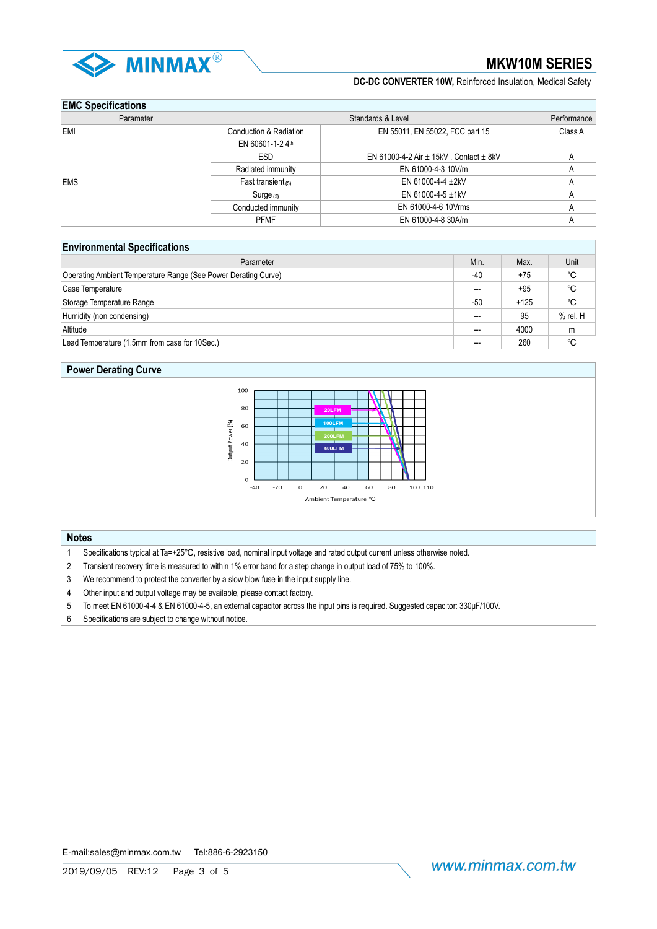

# **EMC Specifications**

| <b>EINS SPOSITIONISTIS</b> |                        |                                                |         |  |  |  |  |
|----------------------------|------------------------|------------------------------------------------|---------|--|--|--|--|
| Parameter                  | Standards & Level      |                                                |         |  |  |  |  |
| EMI                        | Conduction & Radiation | EN 55011, EN 55022, FCC part 15                | Class A |  |  |  |  |
|                            | EN 60601-1-24th        |                                                |         |  |  |  |  |
|                            | <b>ESD</b>             | EN 61000-4-2 Air $\pm$ 15kV, Contact $\pm$ 8kV |         |  |  |  |  |
|                            | Radiated immunity      | EN 61000-4-3 10V/m                             | Α       |  |  |  |  |
| EMS                        | Fast transient $(5)$   | EN 61000-4-4 $\pm$ 2kV                         |         |  |  |  |  |
|                            | $Surge$ (5)            | EN 61000-4-5 $\pm$ 1kV                         |         |  |  |  |  |
|                            | Conducted immunity     | EN 61000-4-6 10Vrms                            | A       |  |  |  |  |
|                            | <b>PFMF</b>            | EN 61000-4-8 30A/m                             |         |  |  |  |  |

## **Environmental Specifications**

| Parameter                                                      | Min.  | Max.   | Unit        |
|----------------------------------------------------------------|-------|--------|-------------|
| Operating Ambient Temperature Range (See Power Derating Curve) | -40   | $+75$  | °C          |
| Case Temperature                                               | ---   | $+95$  | °C          |
| Storage Temperature Range                                      | -50   | $+125$ | $^{\circ}C$ |
| Humidity (non condensing)                                      | $---$ | 95     | $%$ rel. H  |
| Altitude                                                       | ---   | 4000   | m           |
| Lead Temperature (1.5mm from case for 10Sec.)                  | ---   | 260    | °C          |

## **Power Derating Curve**



### **Notes**

- 1 Specifications typical at Ta=+25℃, resistive load, nominal input voltage and rated output current unless otherwise noted.
- 2 Transient recovery time is measured to within 1% error band for a step change in output load of 75% to 100%.
- 3 We recommend to protect the converter by a slow blow fuse in the input supply line.
- 4 Other input and output voltage may be available, please contact factory.
- 5 To meet EN 61000-4-4 & EN 61000-4-5, an external capacitor across the input pins is required. Suggested capacitor: 330μF/100V.
- 6 Specifications are subject to change without notice.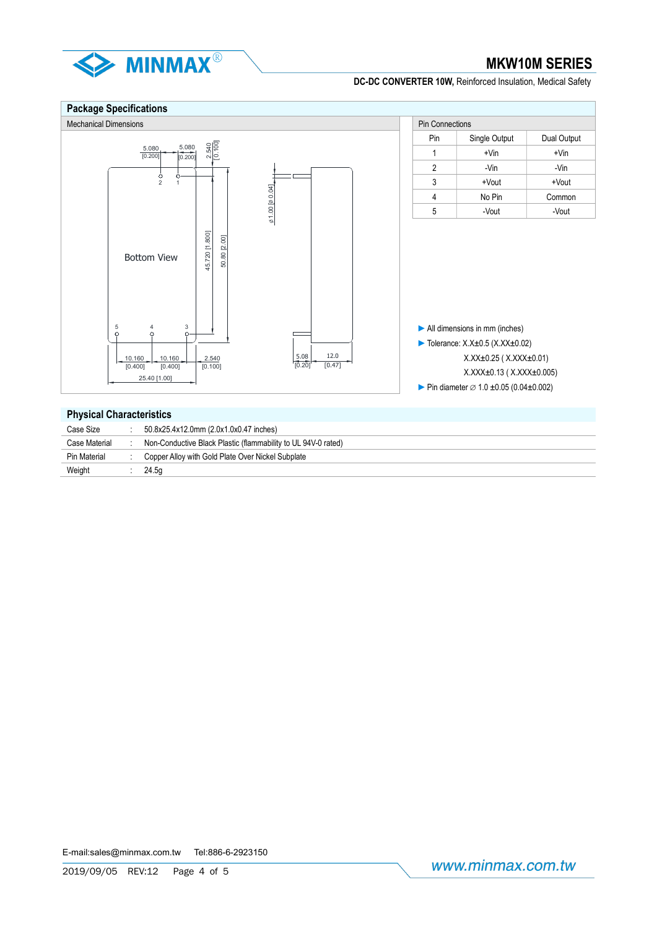